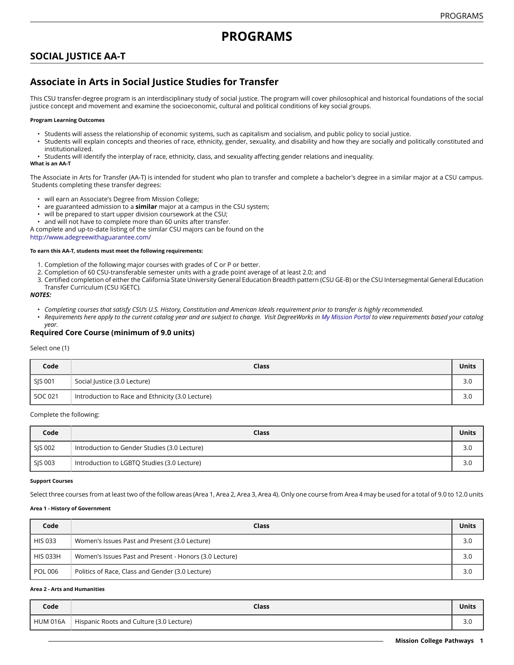# **SOCIAL JUSTICE AA-T**

# **Associate in Arts in Social Justice Studies for Transfer**

This CSU transfer-degree program is an interdisciplinary study of social justice. The program will cover philosophical and historical foundations of the social justice concept and movement and examine the socioeconomic, cultural and political conditions of key social groups.

#### **Program Learning Outcomes**

- Students will assess the relationship of economic systems, such as capitalism and socialism, and public policy to social justice.
- Students will explain concepts and theories of race, ethnicity, gender, sexuality, and disability and how they are socially and politically constituted and institutionalized.
- Students will identify the interplay of race, ethnicity, class, and sexuality affecting gender relations and inequality.

#### **What is an AA-T**

The Associate in Arts for Transfer (AA-T) is intended for student who plan to transfer and complete a bachelor's degree in a similar major at a CSU campus. Students completing these transfer degrees:

- will earn an Associate's Degree from Mission College;
- are guaranteed admission to a **similar** major at a campus in the CSU system;
- will be prepared to start upper division coursework at the CSU;
- and will not have to complete more than 60 units after transfer.
- A complete and up-to-date listing of the similar CSU majors can be found on the [http://www.adegreewithaguarantee.com](http://www.adegreewithaguarantee.com/)/

# **To earn this AA-T, students must meet the following requirements:**

- 1. Completion of the following major courses with grades of C or P or better.
- 2. Completion of 60 CSU-transferable semester units with a grade point average of at least 2.0; and
- 3. Certified completion of either the California State University General Education Breadth pattern (CSU GE-B) or the CSU Intersegmental General Education Transfer Curriculum (CSU IGETC).

#### *NOTES:*

- Completing courses that satisfy CSU's U.S. History, Constitution and American Ideals requirement prior to transfer is highly recommended.
- Requirements here apply to the current catalog year and are subject to change. Visit DegreeWorks in [My Mission Portal](https://wvmccd.sharepoint.com/sites/MCPortal) to view requirements based your catalog *year.*

# **Required Core Course (minimum of 9.0 units)**

#### Select one (1)

| Code    | Class                                            | <b>Units</b> |
|---------|--------------------------------------------------|--------------|
| SJS 001 | Social Justice (3.0 Lecture)                     | 3.0          |
| SOC 021 | Introduction to Race and Ethnicity (3.0 Lecture) | 3.0          |

## Complete the following:

| Code    | Class                                        | <b>Units</b> |
|---------|----------------------------------------------|--------------|
| SIS 002 | Introduction to Gender Studies (3.0 Lecture) | 3.0          |
| SIS 003 | Introduction to LGBTQ Studies (3.0 Lecture)  | 3.0          |

#### **Support Courses**

Select three courses from at least two of the follow areas (Area 1, Area 2, Area 3, Area 4). Only one course from Area 4 may be used for a total of 9.0 to 12.0 units

#### **Area 1 - History of Government**

| Code            | Class                                                  | <b>Units</b> |
|-----------------|--------------------------------------------------------|--------------|
| <b>HIS 033</b>  | Women's Issues Past and Present (3.0 Lecture)          | 3.0          |
| <b>HIS 033H</b> | Women's Issues Past and Present - Honors (3.0 Lecture) | 3.0          |
| <b>POL 006</b>  | Politics of Race, Class and Gender (3.0 Lecture)       | 3.0          |

#### **Area 2 - Arts and Humanities**

| Code            | Class                                    | Units                |
|-----------------|------------------------------------------|----------------------|
| <b>HUM 016A</b> | Hispanic Roots and Culture (3.0 Lecture) | $\sim$ $\sim$<br>J.U |